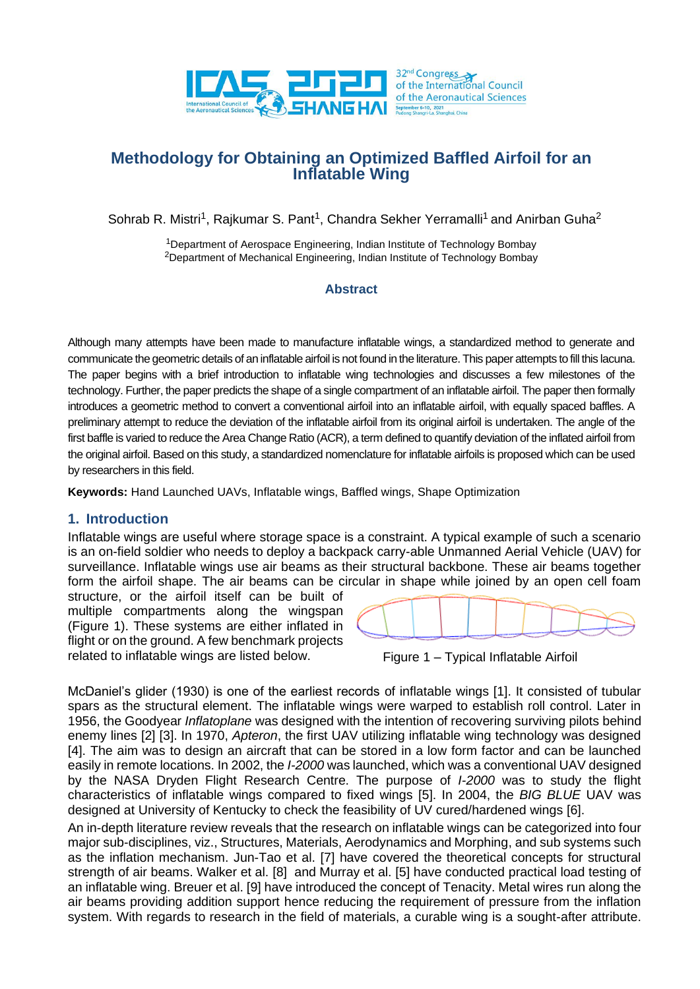

# **Methodology for Obtaining an Optimized Baffled Airfoil for an Inflatable Wing**

Sohrab R. Mistri<sup>1</sup>, Rajkumar S. Pant<sup>1</sup>, Chandra Sekher Yerramalli<sup>1</sup> and Anirban Guha<sup>2</sup>

<sup>1</sup>Department of Aerospace Engineering, Indian Institute of Technology Bombay <sup>2</sup>Department of Mechanical Engineering, Indian Institute of Technology Bombay

#### **Abstract**

Although many attempts have been made to manufacture inflatable wings, a standardized method to generate and communicate the geometric details of an inflatable airfoil is not found in the literature. This paper attempts to fill this lacuna. The paper begins with a brief introduction to inflatable wing technologies and discusses a few milestones of the technology. Further, the paper predicts the shape of a single compartment of an inflatable airfoil. The paper then formally introduces a geometric method to convert a conventional airfoil into an inflatable airfoil, with equally spaced baffles. A preliminary attempt to reduce the deviation of the inflatable airfoil from its original airfoil is undertaken. The angle of the first baffle is varied to reduce the Area Change Ratio (ACR), a term defined to quantify deviation of the inflated airfoil from the original airfoil. Based on this study, a standardized nomenclature for inflatable airfoils is proposed which can be used by researchers in this field.

**Keywords:** Hand Launched UAVs, Inflatable wings, Baffled wings, Shape Optimization

### **1. Introduction**

Inflatable wings are useful where storage space is a constraint. A typical example of such a scenario is an on-field soldier who needs to deploy a backpack carry-able Unmanned Aerial Vehicle (UAV) for surveillance. Inflatable wings use air beams as their structural backbone. These air beams together form the airfoil shape. The air beams can be circular in shape while joined by an open cell foam

structure, or the airfoil itself can be built of multiple compartments along the wingspan [\(Figure](#page-0-0) 1). These systems are either inflated in flight or on the ground. A few benchmark projects related to inflatable wings are listed below.



<span id="page-0-0"></span>

McDaniel's glider (1930) is one of the earliest records of inflatable wings [1]. It consisted of tubular spars as the structural element. The inflatable wings were warped to establish roll control. Later in 1956, the Goodyear *Inflatoplane* was designed with the intention of recovering surviving pilots behind enemy lines [2] [3]. In 1970, *Apteron*, the first UAV utilizing inflatable wing technology was designed [4]. The aim was to design an aircraft that can be stored in a low form factor and can be launched easily in remote locations. In 2002, the *I-2000* was launched, which was a conventional UAV designed by the NASA Dryden Flight Research Centre. The purpose of *I-2000* was to study the flight characteristics of inflatable wings compared to fixed wings [5]. In 2004, the *BIG BLUE* UAV was designed at University of Kentucky to check the feasibility of UV cured/hardened wings [6].

An in-depth literature review reveals that the research on inflatable wings can be categorized into four major sub-disciplines, viz., Structures, Materials, Aerodynamics and Morphing, and sub systems such as the inflation mechanism. Jun-Tao et al. [7] have covered the theoretical concepts for structural strength of air beams. Walker et al. [8] and Murray et al. [5] have conducted practical load testing of an inflatable wing. Breuer et al. [9] have introduced the concept of Tenacity. Metal wires run along the air beams providing addition support hence reducing the requirement of pressure from the inflation system. With regards to research in the field of materials, a curable wing is a sought-after attribute.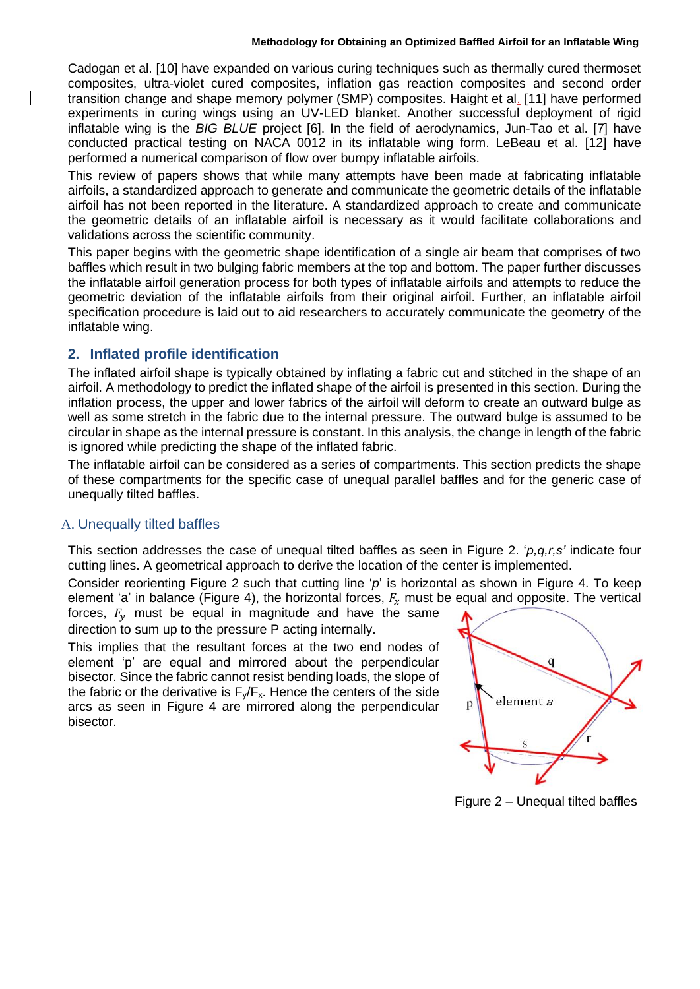Cadogan et al. [10] have expanded on various curing techniques such as thermally cured thermoset composites, ultra-violet cured composites, inflation gas reaction composites and second order transition change and shape memory polymer (SMP) composites. Haight et al. [11] have performed experiments in curing wings using an UV-LED blanket. Another successful deployment of rigid inflatable wing is the *BIG BLUE* project [6]. In the field of aerodynamics, Jun-Tao et al. [7] have conducted practical testing on NACA 0012 in its inflatable wing form. LeBeau et al. [12] have performed a numerical comparison of flow over bumpy inflatable airfoils.

This review of papers shows that while many attempts have been made at fabricating inflatable airfoils, a standardized approach to generate and communicate the geometric details of the inflatable airfoil has not been reported in the literature. A standardized approach to create and communicate the geometric details of an inflatable airfoil is necessary as it would facilitate collaborations and validations across the scientific community.

This paper begins with the geometric shape identification of a single air beam that comprises of two baffles which result in two bulging fabric members at the top and bottom. The paper further discusses the inflatable airfoil generation process for both types of inflatable airfoils and attempts to reduce the geometric deviation of the inflatable airfoils from their original airfoil. Further, an inflatable airfoil specification procedure is laid out to aid researchers to accurately communicate the geometry of the inflatable wing.

# **2. Inflated profile identification**

The inflated airfoil shape is typically obtained by inflating a fabric cut and stitched in the shape of an airfoil. A methodology to predict the inflated shape of the airfoil is presented in this section. During the inflation process, the upper and lower fabrics of the airfoil will deform to create an outward bulge as well as some stretch in the fabric due to the internal pressure. The outward bulge is assumed to be circular in shape as the internal pressure is constant. In this analysis, the change in length of the fabric is ignored while predicting the shape of the inflated fabric.

The inflatable airfoil can be considered as a series of compartments. This section predicts the shape of these compartments for the specific case of unequal parallel baffles and for the generic case of unequally tilted baffles.

# A. Unequally tilted baffles

This section addresses the case of unequal tilted baffles as seen in [Figure](#page-1-0) 2. '*p,q,r,s'* indicate four cutting lines. A geometrical approach to derive the location of the center is implemented.

Consider reorienting [Figure](#page-1-0) 2 such that cutting line '*p*' is horizontal as shown in [Figure](#page-2-0) 4. To keep element 'a' in balance [\(Figure](#page-2-0) 4), the horizontal forces,  $F<sub>x</sub>$  must be equal and opposite. The vertical

forces,  $F_v$  must be equal in magnitude and have the same direction to sum up to the pressure P acting internally.

This implies that the resultant forces at the two end nodes of element 'p' are equal and mirrored about the perpendicular bisector. Since the fabric cannot resist bending loads, the slope of the fabric or the derivative is  $F_y/F_x$ . Hence the centers of the side arcs as seen in [Figure](#page-2-0) 4 are mirrored along the perpendicular bisector.



<span id="page-1-0"></span>Figure 2 – Unequal tilted baffles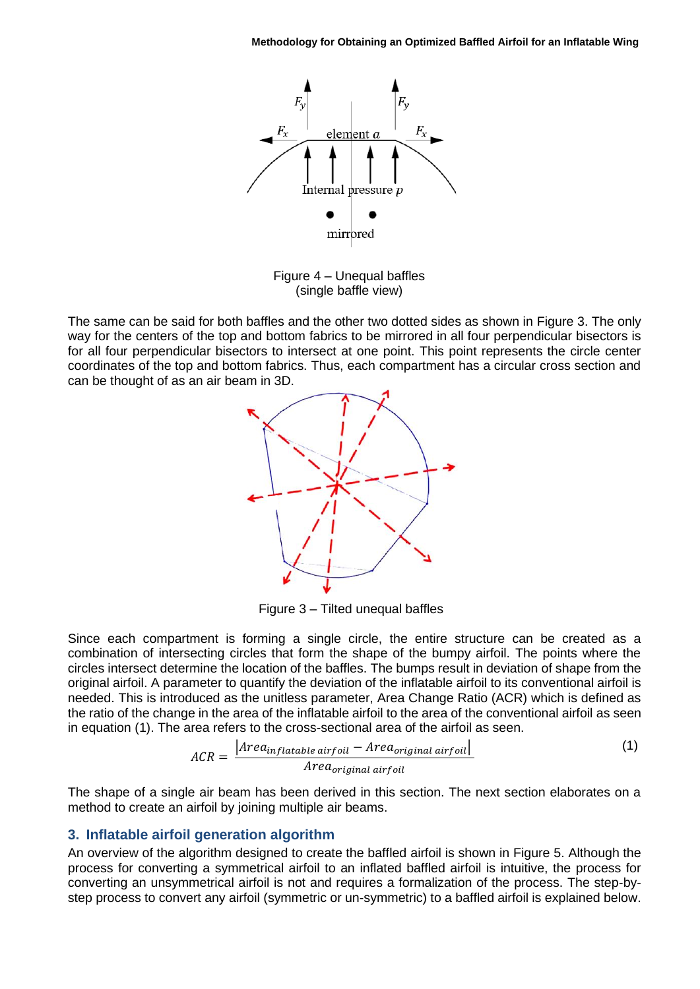

<span id="page-2-0"></span>Figure 4 – Unequal baffles (single baffle view)

The same can be said for both baffles and the other two dotted sides as shown in [Figure](#page-2-1) 3. The only way for the centers of the top and bottom fabrics to be mirrored in all four perpendicular bisectors is for all four perpendicular bisectors to intersect at one point. This point represents the circle center coordinates of the top and bottom fabrics. Thus, each compartment has a circular cross section and can be thought of as an air beam in 3D.



<span id="page-2-2"></span><span id="page-2-1"></span>Figure 3 – Tilted unequal baffles

Since each compartment is forming a single circle, the entire structure can be created as a combination of intersecting circles that form the shape of the bumpy airfoil. The points where the circles intersect determine the location of the baffles. The bumps result in deviation of shape from the original airfoil. A parameter to quantify the deviation of the inflatable airfoil to its conventional airfoil is needed. This is introduced as the unitless parameter, Area Change Ratio (ACR) which is defined as the ratio of the change in the area of the inflatable airfoil to the area of the conventional airfoil as seen in equation [\(1\).](#page-2-2) The area refers to the cross-sectional area of the airfoil as seen.

$$
ACR = \frac{|Area_{inflatable\ airfoil} - Area_{original\ airfoil}|}{Area_{original\ airfoil}
$$
 (1)

The shape of a single air beam has been derived in this section. The next section elaborates on a method to create an airfoil by joining multiple a[ir b](#page-3-0)eams.

#### **3. Inflatable airfoil generation algorithm**

An overview of the algorithm designed to create the baffled airfoil is shown in [Figure](#page-3-1) 5. Although the process for converting a symmetrical airfoil to an inflated baffled airfoil is intuitive, the process for converting an unsymmetrical airfoil is not and requires a formalization of the process. The step-bystep process to convert any airfoil (symmetric or un-symmetric) to a baffled airfoil is explained below.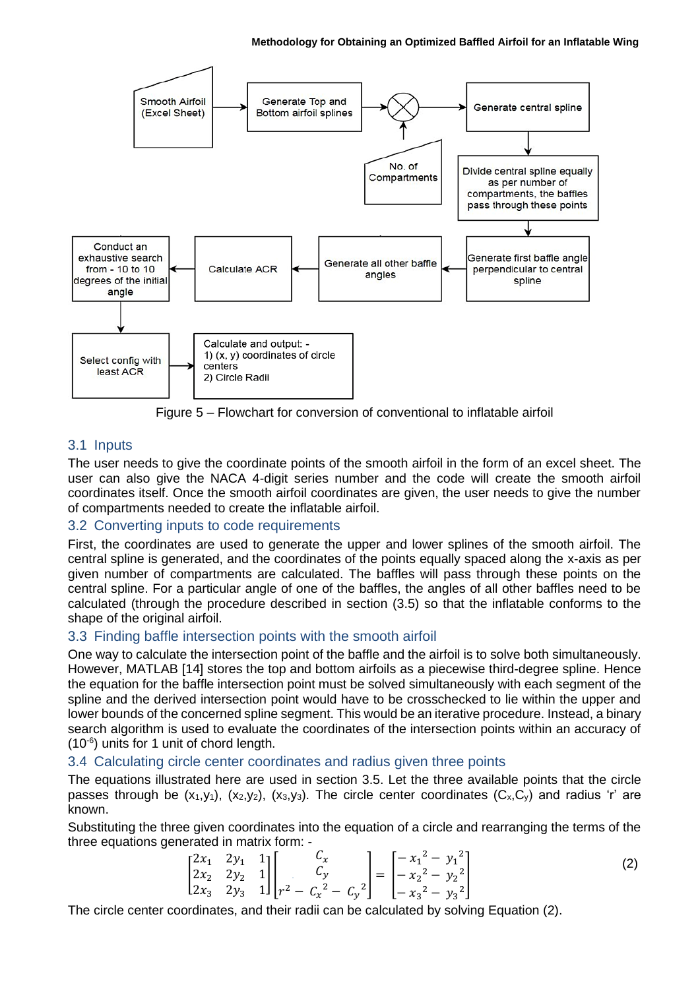

Figure 5 – Flowchart for conversion of conventional to inflatable airfoil

# <span id="page-3-1"></span>3.1 Inputs

The user needs to give the coordinate points of the smooth airfoil in the form of an excel sheet. The user can also give the NACA 4-digit series number and the code will create the smooth airfoil coordinates itself. Once the smooth airfoil coordinates are given, the user needs to give the number of compartments needed to create the inflatable airfoil.

# 3.2 Converting inputs to code requirements

First, the coordinates are used to generate the upper and lower splines of the smooth airfoil. The central spline is generated, and the coordinates of the points equally spaced along the x-axis as per given number of compartments are calculated. The baffles will pass through these points on the central spline. For a particular angle of one of the baffles, the angles of all other baffles need to be calculated (through the procedure described in section (3.5) so that the inflatable conforms to the shape of the original airfoil.

# 3.3 Finding baffle intersection points with the smooth airfoil

One way to calculate the intersection point of the baffle and the airfoil is to solve both simultaneously. However, MATLAB [14] stores the top and bottom airfoils as a piecewise third-degree spline. Hence the equation for the baffle intersection point must be solved simultaneously with each segment of the spline and the derived intersection point would have to be crosschecked to lie within the upper and lower bounds of the concerned spline segment. This would be an iterative procedure. Instead, a binary search algorithm is used to evaluate the coordinates of the intersection points within an accuracy of (10-6 ) units for 1 unit of chord length.

# 3.4 Calculating circle center coordinates and radius given three points

The equations illustrated here are used in section [3.5.](#page-4-0) Let the three available points that the circle passes through be  $(x_1,y_1)$ ,  $(x_2,y_2)$ ,  $(x_3,y_3)$ . The circle center coordinates  $(C_x,C_y)$  and radius 'r' are known.

Substituting the three given coordinates into the equation of a circle and rearranging the terms of the three equations generated in matrix form: -

<span id="page-3-2"></span><span id="page-3-0"></span>
$$
\begin{bmatrix} 2x_1 & 2y_1 & 1 \\ 2x_2 & 2y_2 & 1 \\ 2x_3 & 2y_3 & 1 \end{bmatrix} \begin{bmatrix} C_x \\ C_y \\ r^2 - C_x^2 - C_y^2 \end{bmatrix} = \begin{bmatrix} -x_1^2 - y_1^2 \\ -x_2^2 - y_2^2 \\ -x_3^2 - y_3^2 \end{bmatrix}
$$
 (2)

The circle center coordinates, and their radii can be calculated by solving Equation [\(2\)](#page-3-2).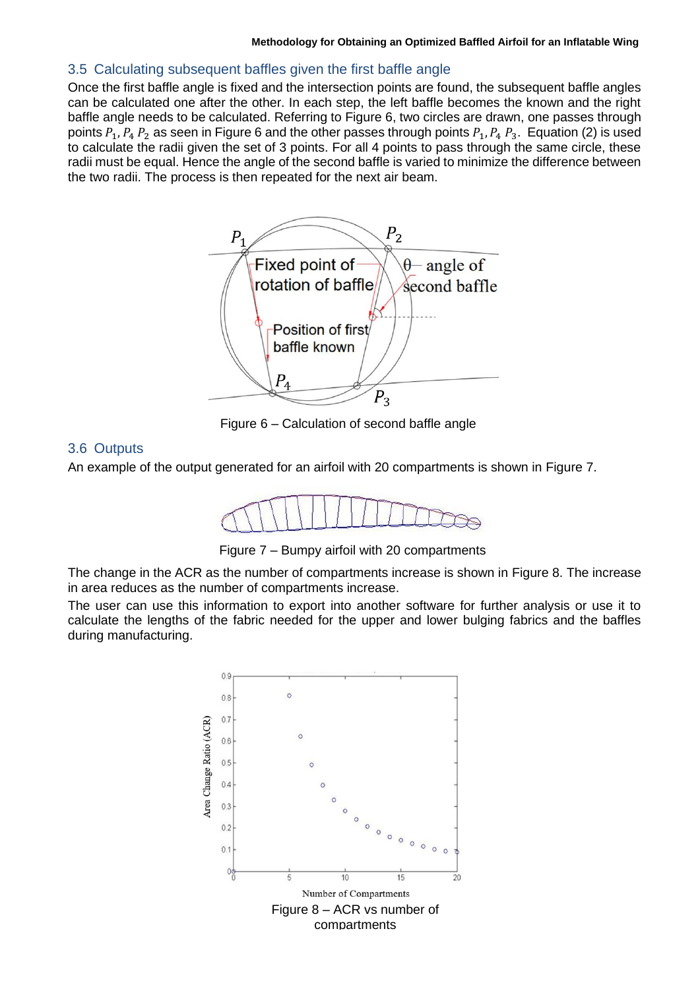### <span id="page-4-0"></span>3.5 Calculating subsequent baffles given the first baffle angle

Once the first baffle angle is fixed and the intersection points are found, the subsequent baffle angles can be calculated one after the other. In each step, the left baffle becomes the known and the right baffle angle needs to be calculated. Referring to [Figure 6,](#page-4-1) two circles are drawn, one passes through points  $P_1$ ,  $P_4$ ,  $P_2$  as seen in [Figure 6](#page-4-1) and the other passes through points  $P_1$ ,  $P_4$ ,  $P_3$ . Equation [\(2\)](#page-3-2) is used to calculate the radii given the set of 3 points. For all 4 points to pass through the same circle, these radii must be equal. Hence the angle of the second baffle is varied to minimize the difference between the two radii. The process is then repeated for the next air beam.



<span id="page-4-1"></span>Figure 6 – Calculation of second baffle angle

### 3.6 Outputs

An example of the output generated for an airfoil with 20 compartments is shown in [Figure 7.](#page-4-2)



<span id="page-4-2"></span>Figure 7 – Bumpy airfoil with 20 compartments

The change in the ACR as the number of compartments increase is shown in [Figure](#page-4-3) 8. The increase in area reduces as the number of compartments increase.

The user can use this information to export into another software for further analysis or use it to calculate the lengths of the fabric needed for the upper and lower bulging fabrics and the baffles during manufacturing.

<span id="page-4-3"></span>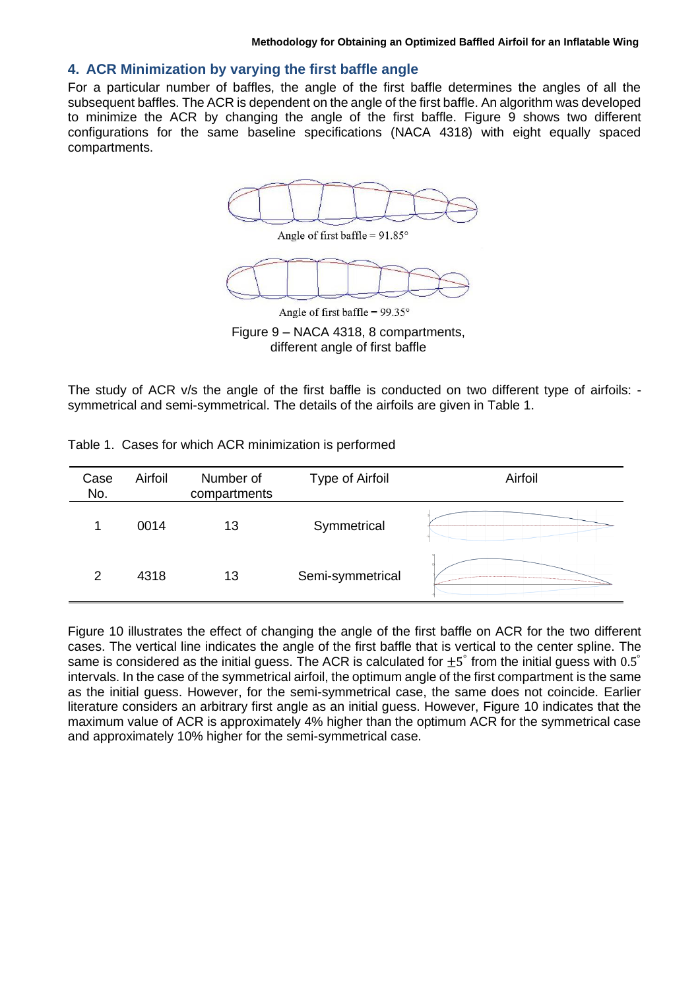### **4. ACR Minimization by varying the first baffle angle**

For a particular number of baffles, the angle of the first baffle determines the angles of all the subsequent baffles. The ACR is dependent on the angle of the first baffle. An algorithm was developed to minimize the ACR by changing the angle of the first baffle. [Figure 9](#page-5-0) shows two different configurations for the same baseline specifications (NACA 4318) with eight equally spaced compartments.





Angle of first baffle =  $99.35^\circ$ 

<span id="page-5-0"></span>Figure 9 – NACA 4318, 8 compartments, different angle of first baffle

The study of ACR v/s the angle of the first baffle is conducted on two different type of airfoils: symmetrical and semi-symmetrical. The details of the airfoils are given in [Table 1.](#page-5-1)

| Case<br>No.   | Airfoil | Number of<br>compartments | Type of Airfoil  | Airfoil |
|---------------|---------|---------------------------|------------------|---------|
|               | 0014    | 13                        | Symmetrical      |         |
| $\mathcal{P}$ | 4318    | 13                        | Semi-symmetrical |         |

<span id="page-5-1"></span>Table 1. Cases for which ACR minimization is performed

[Figure 10](#page-6-0) illustrates the effect of changing the angle of the first baffle on ACR for the two different cases. The vertical line indicates the angle of the first baffle that is vertical to the center spline. The same is considered as the initial guess. The ACR is calculated for  $\pm 5^{\degree}$  from the initial guess with 0.5 $^{\degree}$ intervals. In the case of the symmetrical airfoil, the optimum angle of the first compartment is the same as the initial guess. However, for the semi-symmetrical case, the same does not coincide. Earlier literature considers an arbitrary first angle as an initial guess. However, [Figure 10](#page-6-0) indicates that the maximum value of ACR is approximately 4% higher than the optimum ACR for the symmetrical case and approximately 10% higher for the semi-symmetrical case.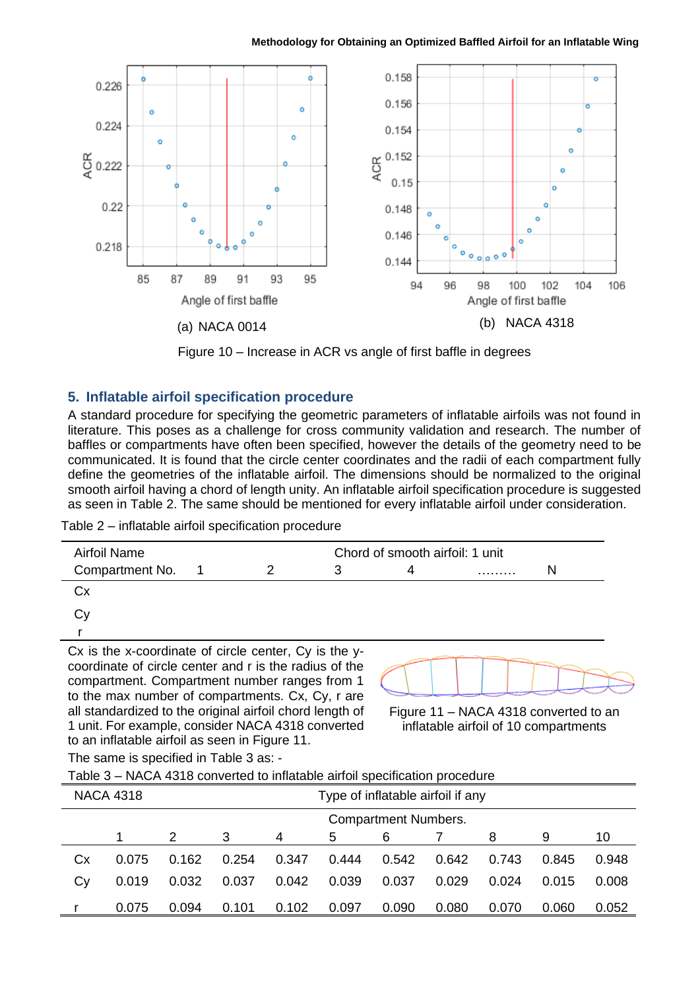

Figure 10 – Increase in ACR vs angle of first baffle in degrees

# <span id="page-6-0"></span>**5. Inflatable airfoil specification procedure**

A standard procedure for specifying the geometric parameters of inflatable airfoils was not found in literature. This poses as a challenge for cross community validation and research. The number of baffles or compartments have often been specified, however the details of the geometry need to be communicated. It is found that the circle center coordinates and the radii of each compartment fully define the geometries of the inflatable airfoil. The dimensions should be normalized to the original smooth airfoil having a chord of length unity. An inflatable airfoil specification procedure is suggested as seen in [Table 2.](#page-6-1) The same should be mentioned for every inflatable airfoil under consideration.

<span id="page-6-1"></span>Table 2 – inflatable airfoil specification procedure

| Airfoil Name    | Chord of smooth airfoil: 1 unit |  |   |  |  |
|-----------------|---------------------------------|--|---|--|--|
| Compartment No. |                                 |  | . |  |  |
| Cх              |                                 |  |   |  |  |
| $\sim$          |                                 |  |   |  |  |

Cy r

Cx is the x-coordinate of circle center, Cy is the ycoordinate of circle center and r is the radius of the compartment. Compartment number ranges from 1 to the max number of compartments. Cx, Cy, r are all standardized to the original airfoil chord length of 1 unit. For example, consider NACA 4318 converted to an inflatable airfoil as seen in [Figure](#page-6-2) 11.

<span id="page-6-2"></span>Figure 11 – NACA 4318 converted to an inflatable airfoil of 10 compartments

The same is specified in [Table 3](#page-6-3) as: -

<span id="page-6-3"></span>Table 3 – NACA 4318 converted to inflatable airfoil specification procedure

| <b>NACA 4318</b> |       |                             | Type of inflatable airfoil if any |       |       |       |       |       |       |       |
|------------------|-------|-----------------------------|-----------------------------------|-------|-------|-------|-------|-------|-------|-------|
|                  |       | <b>Compartment Numbers.</b> |                                   |       |       |       |       |       |       |       |
|                  |       | 2                           | 3                                 | 4     | 5     | 6     |       | 8     | 9     | 10    |
| Сx               | 0.075 | 0.162                       | 0.254                             | 0.347 | 0.444 | 0.542 | 0.642 | 0.743 | 0.845 | 0.948 |
| Cy               | 0.019 | 0.032                       | 0.037                             | 0.042 | 0.039 | 0.037 | 0.029 | 0.024 | 0.015 | 0.008 |
|                  | 0.075 | 0.094                       | 0.101                             | 0.102 | 0.097 | 0.090 | 0.080 | 0.070 | 0.060 | 0.052 |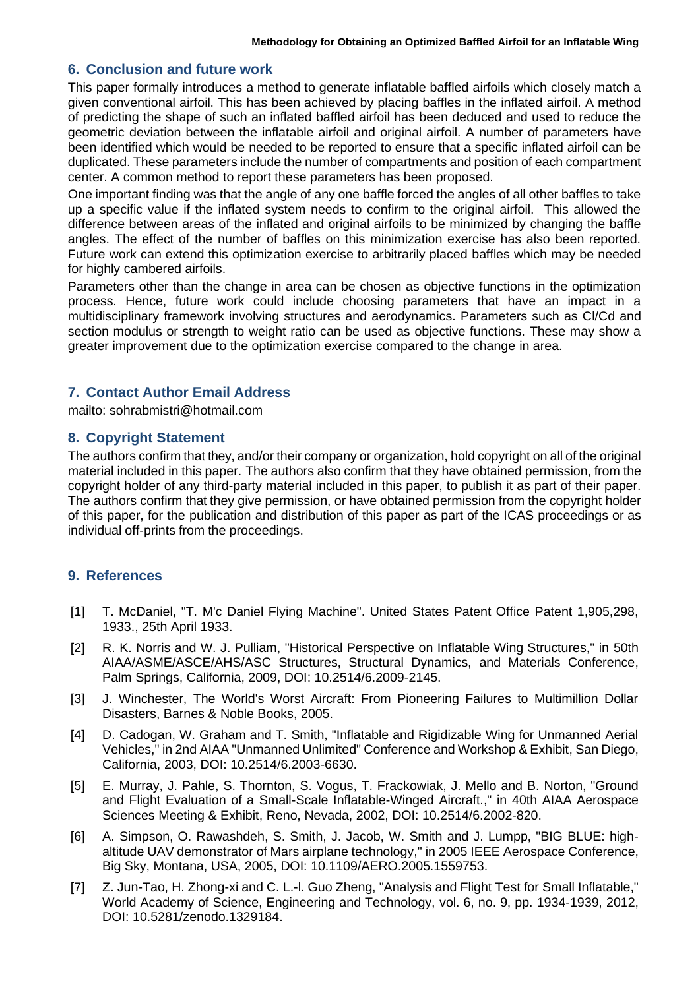#### **6. Conclusion and future work**

This paper formally introduces a method to generate inflatable baffled airfoils which closely match a given conventional airfoil. This has been achieved by placing baffles in the inflated airfoil. A method of predicting the shape of such an inflated baffled airfoil has been deduced and used to reduce the geometric deviation between the inflatable airfoil and original airfoil. A number of parameters have been identified which would be needed to be reported to ensure that a specific inflated airfoil can be duplicated. These parameters include the number of compartments and position of each compartment center. A common method to report these parameters has been proposed.

One important finding was that the angle of any one baffle forced the angles of all other baffles to take up a specific value if the inflated system needs to confirm to the original airfoil. This allowed the difference between areas of the inflated and original airfoils to be minimized by changing the baffle angles. The effect of the number of baffles on this minimization exercise has also been reported. Future work can extend this optimization exercise to arbitrarily placed baffles which may be needed for highly cambered airfoils.

Parameters other than the change in area can be chosen as objective functions in the optimization process. Hence, future work could include choosing parameters that have an impact in a multidisciplinary framework involving structures and aerodynamics. Parameters such as Cl/Cd and section modulus or strength to weight ratio can be used as objective functions. These may show a greater improvement due to the optimization exercise compared to the change in area.

### **7. Contact Author Email Address**

mailto: [sohrabmistri@hotmail.com](mailto:sohrabmistri@hotmail.com)

#### **8. Copyright Statement**

The authors confirm that they, and/or their company or organization, hold copyright on all of the original material included in this paper. The authors also confirm that they have obtained permission, from the copyright holder of any third-party material included in this paper, to publish it as part of their paper. The authors confirm that they give permission, or have obtained permission from the copyright holder of this paper, for the publication and distribution of this paper as part of the ICAS proceedings or as individual off-prints from the proceedings.

### **9. References**

- [1] T. McDaniel, "T. M'c Daniel Flying Machine". United States Patent Office Patent 1,905,298, 1933., 25th April 1933.
- [2] R. K. Norris and W. J. Pulliam, "Historical Perspective on Inflatable Wing Structures," in 50th AIAA/ASME/ASCE/AHS/ASC Structures, Structural Dynamics, and Materials Conference, Palm Springs, California, 2009, DOI: 10.2514/6.2009-2145.
- [3] J. Winchester, The World's Worst Aircraft: From Pioneering Failures to Multimillion Dollar Disasters, Barnes & Noble Books, 2005.
- [4] D. Cadogan, W. Graham and T. Smith, "Inflatable and Rigidizable Wing for Unmanned Aerial Vehicles," in 2nd AIAA "Unmanned Unlimited" Conference and Workshop & Exhibit, San Diego, California, 2003, DOI: 10.2514/6.2003-6630.
- [5] E. Murray, J. Pahle, S. Thornton, S. Vogus, T. Frackowiak, J. Mello and B. Norton, "Ground and Flight Evaluation of a Small-Scale Inflatable-Winged Aircraft.," in 40th AIAA Aerospace Sciences Meeting & Exhibit, Reno, Nevada, 2002, DOI: 10.2514/6.2002-820.
- [6] A. Simpson, O. Rawashdeh, S. Smith, J. Jacob, W. Smith and J. Lumpp, "BIG BLUE: highaltitude UAV demonstrator of Mars airplane technology," in 2005 IEEE Aerospace Conference, Big Sky, Montana, USA, 2005, DOI: 10.1109/AERO.2005.1559753.
- [7] Z. Jun-Tao, H. Zhong-xi and C. L.-I. Guo Zheng, "Analysis and Flight Test for Small Inflatable," World Academy of Science, Engineering and Technology, vol. 6, no. 9, pp. 1934-1939, 2012, DOI: 10.5281/zenodo.1329184.